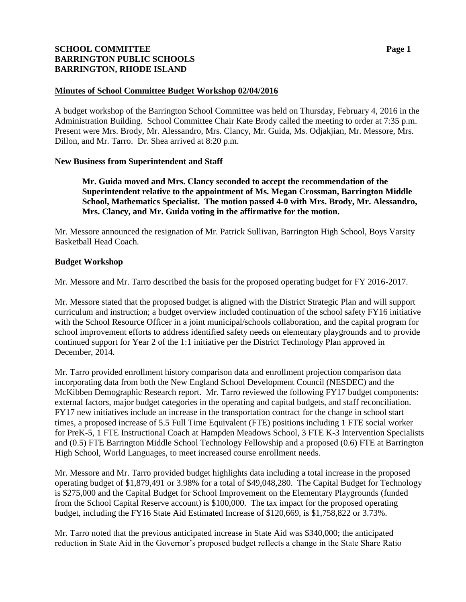# **SCHOOL COMMITTEE Page 1 BARRINGTON PUBLIC SCHOOLS BARRINGTON, RHODE ISLAND**

#### **Minutes of School Committee Budget Workshop 02/04/2016**

A budget workshop of the Barrington School Committee was held on Thursday, February 4, 2016 in the Administration Building. School Committee Chair Kate Brody called the meeting to order at 7:35 p.m. Present were Mrs. Brody, Mr. Alessandro, Mrs. Clancy, Mr. Guida, Ms. Odjakjian, Mr. Messore, Mrs. Dillon, and Mr. Tarro. Dr. Shea arrived at 8:20 p.m.

#### **New Business from Superintendent and Staff**

**Mr. Guida moved and Mrs. Clancy seconded to accept the recommendation of the Superintendent relative to the appointment of Ms. Megan Crossman, Barrington Middle School, Mathematics Specialist. The motion passed 4-0 with Mrs. Brody, Mr. Alessandro, Mrs. Clancy, and Mr. Guida voting in the affirmative for the motion.** 

Mr. Messore announced the resignation of Mr. Patrick Sullivan, Barrington High School, Boys Varsity Basketball Head Coach.

#### **Budget Workshop**

Mr. Messore and Mr. Tarro described the basis for the proposed operating budget for FY 2016-2017.

Mr. Messore stated that the proposed budget is aligned with the District Strategic Plan and will support curriculum and instruction; a budget overview included continuation of the school safety FY16 initiative with the School Resource Officer in a joint municipal/schools collaboration, and the capital program for school improvement efforts to address identified safety needs on elementary playgrounds and to provide continued support for Year 2 of the 1:1 initiative per the District Technology Plan approved in December, 2014.

Mr. Tarro provided enrollment history comparison data and enrollment projection comparison data incorporating data from both the New England School Development Council (NESDEC) and the McKibben Demographic Research report. Mr. Tarro reviewed the following FY17 budget components: external factors, major budget categories in the operating and capital budgets, and staff reconciliation. FY17 new initiatives include an increase in the transportation contract for the change in school start times, a proposed increase of 5.5 Full Time Equivalent (FTE) positions including 1 FTE social worker for PreK-5, 1 FTE Instructional Coach at Hampden Meadows School, 3 FTE K-3 Intervention Specialists and (0.5) FTE Barrington Middle School Technology Fellowship and a proposed (0.6) FTE at Barrington High School, World Languages, to meet increased course enrollment needs.

Mr. Messore and Mr. Tarro provided budget highlights data including a total increase in the proposed operating budget of \$1,879,491 or 3.98% for a total of \$49,048,280. The Capital Budget for Technology is \$275,000 and the Capital Budget for School Improvement on the Elementary Playgrounds (funded from the School Capital Reserve account) is \$100,000. The tax impact for the proposed operating budget, including the FY16 State Aid Estimated Increase of \$120,669, is \$1,758,822 or 3.73%.

Mr. Tarro noted that the previous anticipated increase in State Aid was \$340,000; the anticipated reduction in State Aid in the Governor's proposed budget reflects a change in the State Share Ratio